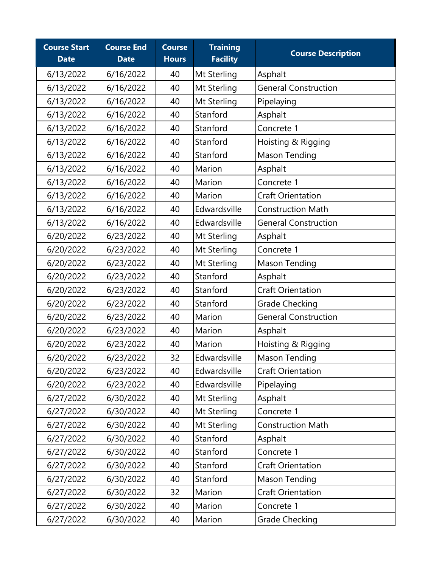| <b>Course Start</b><br><b>Date</b> | <b>Course End</b><br><b>Date</b> | <b>Course</b><br><b>Hours</b> | <b>Training</b><br><b>Facility</b> | <b>Course Description</b>   |
|------------------------------------|----------------------------------|-------------------------------|------------------------------------|-----------------------------|
| 6/13/2022                          | 6/16/2022                        | 40                            | Mt Sterling                        | Asphalt                     |
| 6/13/2022                          | 6/16/2022                        | 40                            | Mt Sterling                        | <b>General Construction</b> |
| 6/13/2022                          | 6/16/2022                        | 40                            | Mt Sterling                        | Pipelaying                  |
| 6/13/2022                          | 6/16/2022                        | 40                            | Stanford                           | Asphalt                     |
| 6/13/2022                          | 6/16/2022                        | 40                            | Stanford                           | Concrete 1                  |
| 6/13/2022                          | 6/16/2022                        | 40                            | Stanford                           | Hoisting & Rigging          |
| 6/13/2022                          | 6/16/2022                        | 40                            | Stanford                           | <b>Mason Tending</b>        |
| 6/13/2022                          | 6/16/2022                        | 40                            | Marion                             | Asphalt                     |
| 6/13/2022                          | 6/16/2022                        | 40                            | Marion                             | Concrete 1                  |
| 6/13/2022                          | 6/16/2022                        | 40                            | Marion                             | <b>Craft Orientation</b>    |
| 6/13/2022                          | 6/16/2022                        | 40                            | Edwardsville                       | <b>Construction Math</b>    |
| 6/13/2022                          | 6/16/2022                        | 40                            | Edwardsville                       | <b>General Construction</b> |
| 6/20/2022                          | 6/23/2022                        | 40                            | Mt Sterling                        | Asphalt                     |
| 6/20/2022                          | 6/23/2022                        | 40                            | Mt Sterling                        | Concrete 1                  |
| 6/20/2022                          | 6/23/2022                        | 40                            | Mt Sterling                        | Mason Tending               |
| 6/20/2022                          | 6/23/2022                        | 40                            | Stanford                           | Asphalt                     |
| 6/20/2022                          | 6/23/2022                        | 40                            | Stanford                           | <b>Craft Orientation</b>    |
| 6/20/2022                          | 6/23/2022                        | 40                            | Stanford                           | <b>Grade Checking</b>       |
| 6/20/2022                          | 6/23/2022                        | 40                            | Marion                             | <b>General Construction</b> |
| 6/20/2022                          | 6/23/2022                        | 40                            | Marion                             | Asphalt                     |
| 6/20/2022                          | 6/23/2022                        | 40                            | Marion                             | Hoisting & Rigging          |
| 6/20/2022                          | 6/23/2022                        | 32                            | Edwardsville                       | Mason Tending               |
| 6/20/2022                          | 6/23/2022                        | 40                            | Edwardsville                       | Craft Orientation           |
| 6/20/2022                          | 6/23/2022                        | 40                            | Edwardsville                       | Pipelaying                  |
| 6/27/2022                          | 6/30/2022                        | 40                            | Mt Sterling                        | Asphalt                     |
| 6/27/2022                          | 6/30/2022                        | 40                            | Mt Sterling                        | Concrete 1                  |
| 6/27/2022                          | 6/30/2022                        | 40                            | Mt Sterling                        | <b>Construction Math</b>    |
| 6/27/2022                          | 6/30/2022                        | 40                            | Stanford                           | Asphalt                     |
| 6/27/2022                          | 6/30/2022                        | 40                            | Stanford                           | Concrete 1                  |
| 6/27/2022                          | 6/30/2022                        | 40                            | Stanford                           | <b>Craft Orientation</b>    |
| 6/27/2022                          | 6/30/2022                        | 40                            | Stanford                           | Mason Tending               |
| 6/27/2022                          | 6/30/2022                        | 32                            | Marion                             | Craft Orientation           |
| 6/27/2022                          | 6/30/2022                        | 40                            | Marion                             | Concrete 1                  |
| 6/27/2022                          | 6/30/2022                        | 40                            | Marion                             | <b>Grade Checking</b>       |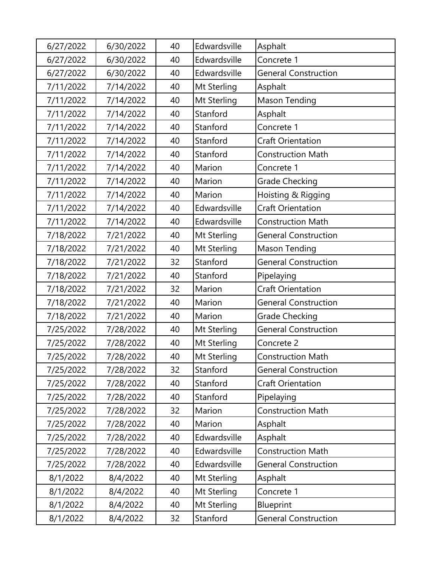| 6/27/2022 | 6/30/2022 | 40 | Edwardsville | Asphalt                     |
|-----------|-----------|----|--------------|-----------------------------|
| 6/27/2022 | 6/30/2022 | 40 | Edwardsville | Concrete 1                  |
| 6/27/2022 | 6/30/2022 | 40 | Edwardsville | <b>General Construction</b> |
| 7/11/2022 | 7/14/2022 | 40 | Mt Sterling  | Asphalt                     |
| 7/11/2022 | 7/14/2022 | 40 | Mt Sterling  | <b>Mason Tending</b>        |
| 7/11/2022 | 7/14/2022 | 40 | Stanford     | Asphalt                     |
| 7/11/2022 | 7/14/2022 | 40 | Stanford     | Concrete 1                  |
| 7/11/2022 | 7/14/2022 | 40 | Stanford     | <b>Craft Orientation</b>    |
| 7/11/2022 | 7/14/2022 | 40 | Stanford     | <b>Construction Math</b>    |
| 7/11/2022 | 7/14/2022 | 40 | Marion       | Concrete 1                  |
| 7/11/2022 | 7/14/2022 | 40 | Marion       | <b>Grade Checking</b>       |
| 7/11/2022 | 7/14/2022 | 40 | Marion       | Hoisting & Rigging          |
| 7/11/2022 | 7/14/2022 | 40 | Edwardsville | <b>Craft Orientation</b>    |
| 7/11/2022 | 7/14/2022 | 40 | Edwardsville | <b>Construction Math</b>    |
| 7/18/2022 | 7/21/2022 | 40 | Mt Sterling  | <b>General Construction</b> |
| 7/18/2022 | 7/21/2022 | 40 | Mt Sterling  | Mason Tending               |
| 7/18/2022 | 7/21/2022 | 32 | Stanford     | <b>General Construction</b> |
| 7/18/2022 | 7/21/2022 | 40 | Stanford     | Pipelaying                  |
| 7/18/2022 | 7/21/2022 | 32 | Marion       | <b>Craft Orientation</b>    |
| 7/18/2022 | 7/21/2022 | 40 | Marion       | <b>General Construction</b> |
| 7/18/2022 | 7/21/2022 | 40 | Marion       | <b>Grade Checking</b>       |
| 7/25/2022 | 7/28/2022 | 40 | Mt Sterling  | <b>General Construction</b> |
| 7/25/2022 | 7/28/2022 | 40 | Mt Sterling  | Concrete 2                  |
| 7/25/2022 | 7/28/2022 | 40 | Mt Sterling  | <b>Construction Math</b>    |
| 7/25/2022 | 7/28/2022 | 32 | Stanford     | <b>General Construction</b> |
| 7/25/2022 | 7/28/2022 | 40 | Stanford     | Craft Orientation           |
| 7/25/2022 | 7/28/2022 | 40 | Stanford     | Pipelaying                  |
| 7/25/2022 | 7/28/2022 | 32 | Marion       | <b>Construction Math</b>    |
| 7/25/2022 | 7/28/2022 | 40 | Marion       | Asphalt                     |
| 7/25/2022 | 7/28/2022 | 40 | Edwardsville | Asphalt                     |
| 7/25/2022 | 7/28/2022 | 40 | Edwardsville | <b>Construction Math</b>    |
| 7/25/2022 | 7/28/2022 | 40 | Edwardsville | <b>General Construction</b> |
| 8/1/2022  | 8/4/2022  | 40 | Mt Sterling  | Asphalt                     |
| 8/1/2022  | 8/4/2022  | 40 | Mt Sterling  | Concrete 1                  |
| 8/1/2022  | 8/4/2022  | 40 | Mt Sterling  | Blueprint                   |
| 8/1/2022  | 8/4/2022  | 32 | Stanford     | <b>General Construction</b> |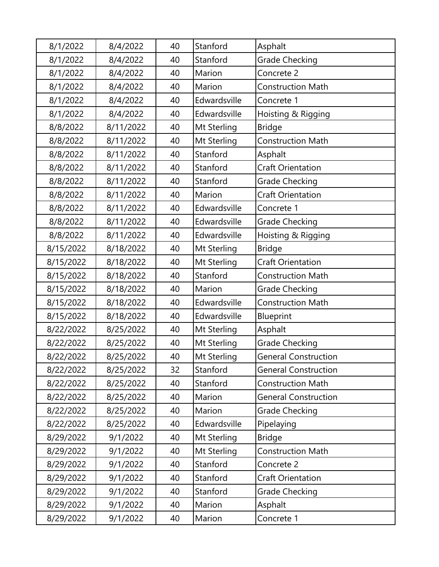| 8/1/2022  | 8/4/2022  | 40 | Stanford     | Asphalt                     |
|-----------|-----------|----|--------------|-----------------------------|
| 8/1/2022  | 8/4/2022  | 40 | Stanford     | Grade Checking              |
| 8/1/2022  | 8/4/2022  | 40 | Marion       | Concrete 2                  |
| 8/1/2022  | 8/4/2022  | 40 | Marion       | <b>Construction Math</b>    |
| 8/1/2022  | 8/4/2022  | 40 | Edwardsville | Concrete 1                  |
| 8/1/2022  | 8/4/2022  | 40 | Edwardsville | Hoisting & Rigging          |
| 8/8/2022  | 8/11/2022 | 40 | Mt Sterling  | <b>Bridge</b>               |
| 8/8/2022  | 8/11/2022 | 40 | Mt Sterling  | <b>Construction Math</b>    |
| 8/8/2022  | 8/11/2022 | 40 | Stanford     | Asphalt                     |
| 8/8/2022  | 8/11/2022 | 40 | Stanford     | <b>Craft Orientation</b>    |
| 8/8/2022  | 8/11/2022 | 40 | Stanford     | <b>Grade Checking</b>       |
| 8/8/2022  | 8/11/2022 | 40 | Marion       | <b>Craft Orientation</b>    |
| 8/8/2022  | 8/11/2022 | 40 | Edwardsville | Concrete 1                  |
| 8/8/2022  | 8/11/2022 | 40 | Edwardsville | <b>Grade Checking</b>       |
| 8/8/2022  | 8/11/2022 | 40 | Edwardsville | Hoisting & Rigging          |
| 8/15/2022 | 8/18/2022 | 40 | Mt Sterling  | <b>Bridge</b>               |
| 8/15/2022 | 8/18/2022 | 40 | Mt Sterling  | <b>Craft Orientation</b>    |
| 8/15/2022 | 8/18/2022 | 40 | Stanford     | <b>Construction Math</b>    |
| 8/15/2022 | 8/18/2022 | 40 | Marion       | <b>Grade Checking</b>       |
| 8/15/2022 | 8/18/2022 | 40 | Edwardsville | <b>Construction Math</b>    |
| 8/15/2022 | 8/18/2022 | 40 | Edwardsville | <b>Blueprint</b>            |
| 8/22/2022 | 8/25/2022 | 40 | Mt Sterling  | Asphalt                     |
| 8/22/2022 | 8/25/2022 | 40 | Mt Sterling  | <b>Grade Checking</b>       |
| 8/22/2022 | 8/25/2022 | 40 | Mt Sterling  | <b>General Construction</b> |
| 8/22/2022 | 8/25/2022 | 32 | Stanford     | <b>General Construction</b> |
| 8/22/2022 | 8/25/2022 | 40 | Stanford     | <b>Construction Math</b>    |
| 8/22/2022 | 8/25/2022 | 40 | Marion       | <b>General Construction</b> |
| 8/22/2022 | 8/25/2022 | 40 | Marion       | <b>Grade Checking</b>       |
| 8/22/2022 | 8/25/2022 | 40 | Edwardsville | Pipelaying                  |
| 8/29/2022 | 9/1/2022  | 40 | Mt Sterling  | <b>Bridge</b>               |
| 8/29/2022 | 9/1/2022  | 40 | Mt Sterling  | <b>Construction Math</b>    |
| 8/29/2022 | 9/1/2022  | 40 | Stanford     | Concrete 2                  |
| 8/29/2022 | 9/1/2022  | 40 | Stanford     | <b>Craft Orientation</b>    |
| 8/29/2022 | 9/1/2022  | 40 | Stanford     | <b>Grade Checking</b>       |
| 8/29/2022 | 9/1/2022  | 40 | Marion       | Asphalt                     |
| 8/29/2022 | 9/1/2022  | 40 | Marion       | Concrete 1                  |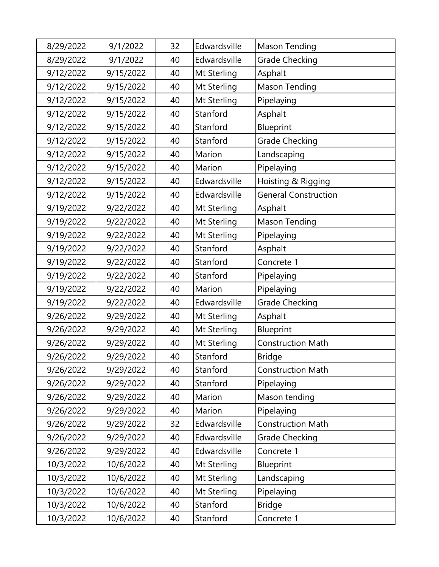| 8/29/2022 | 9/1/2022  | 32 | Edwardsville | <b>Mason Tending</b>        |
|-----------|-----------|----|--------------|-----------------------------|
| 8/29/2022 | 9/1/2022  | 40 | Edwardsville | Grade Checking              |
| 9/12/2022 | 9/15/2022 | 40 | Mt Sterling  | Asphalt                     |
| 9/12/2022 | 9/15/2022 | 40 | Mt Sterling  | <b>Mason Tending</b>        |
| 9/12/2022 | 9/15/2022 | 40 | Mt Sterling  | Pipelaying                  |
| 9/12/2022 | 9/15/2022 | 40 | Stanford     | Asphalt                     |
| 9/12/2022 | 9/15/2022 | 40 | Stanford     | <b>Blueprint</b>            |
| 9/12/2022 | 9/15/2022 | 40 | Stanford     | <b>Grade Checking</b>       |
| 9/12/2022 | 9/15/2022 | 40 | Marion       | Landscaping                 |
| 9/12/2022 | 9/15/2022 | 40 | Marion       | Pipelaying                  |
| 9/12/2022 | 9/15/2022 | 40 | Edwardsville | Hoisting & Rigging          |
| 9/12/2022 | 9/15/2022 | 40 | Edwardsville | <b>General Construction</b> |
| 9/19/2022 | 9/22/2022 | 40 | Mt Sterling  | Asphalt                     |
| 9/19/2022 | 9/22/2022 | 40 | Mt Sterling  | Mason Tending               |
| 9/19/2022 | 9/22/2022 | 40 | Mt Sterling  | Pipelaying                  |
| 9/19/2022 | 9/22/2022 | 40 | Stanford     | Asphalt                     |
| 9/19/2022 | 9/22/2022 | 40 | Stanford     | Concrete 1                  |
| 9/19/2022 | 9/22/2022 | 40 | Stanford     | Pipelaying                  |
| 9/19/2022 | 9/22/2022 | 40 | Marion       | Pipelaying                  |
| 9/19/2022 | 9/22/2022 | 40 | Edwardsville | <b>Grade Checking</b>       |
| 9/26/2022 | 9/29/2022 | 40 | Mt Sterling  | Asphalt                     |
| 9/26/2022 | 9/29/2022 | 40 | Mt Sterling  | <b>Blueprint</b>            |
| 9/26/2022 | 9/29/2022 | 40 | Mt Sterling  | <b>Construction Math</b>    |
| 9/26/2022 | 9/29/2022 | 40 | Stanford     | <b>Bridge</b>               |
| 9/26/2022 | 9/29/2022 | 40 | Stanford     | <b>Construction Math</b>    |
| 9/26/2022 | 9/29/2022 | 40 | Stanford     | Pipelaying                  |
| 9/26/2022 | 9/29/2022 | 40 | Marion       | Mason tending               |
| 9/26/2022 | 9/29/2022 | 40 | Marion       | Pipelaying                  |
| 9/26/2022 | 9/29/2022 | 32 | Edwardsville | <b>Construction Math</b>    |
| 9/26/2022 | 9/29/2022 | 40 | Edwardsville | <b>Grade Checking</b>       |
| 9/26/2022 | 9/29/2022 | 40 | Edwardsville | Concrete 1                  |
| 10/3/2022 | 10/6/2022 | 40 | Mt Sterling  | <b>Blueprint</b>            |
| 10/3/2022 | 10/6/2022 | 40 | Mt Sterling  | Landscaping                 |
| 10/3/2022 | 10/6/2022 | 40 | Mt Sterling  | Pipelaying                  |
| 10/3/2022 | 10/6/2022 | 40 | Stanford     | <b>Bridge</b>               |
| 10/3/2022 | 10/6/2022 | 40 | Stanford     | Concrete 1                  |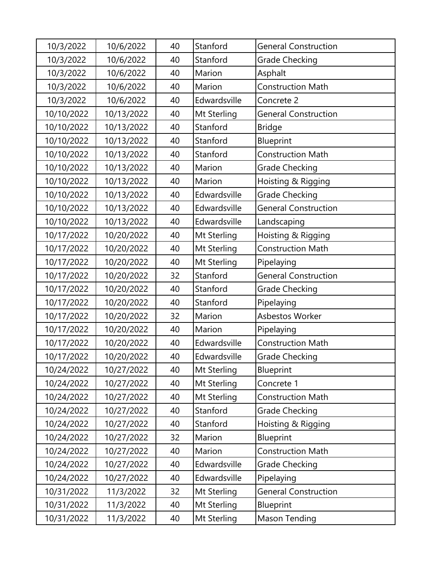| 10/3/2022  | 10/6/2022  | 40 | Stanford     | <b>General Construction</b> |
|------------|------------|----|--------------|-----------------------------|
| 10/3/2022  | 10/6/2022  | 40 | Stanford     | <b>Grade Checking</b>       |
| 10/3/2022  | 10/6/2022  | 40 | Marion       | Asphalt                     |
| 10/3/2022  | 10/6/2022  | 40 | Marion       | <b>Construction Math</b>    |
| 10/3/2022  | 10/6/2022  | 40 | Edwardsville | Concrete 2                  |
| 10/10/2022 | 10/13/2022 | 40 | Mt Sterling  | <b>General Construction</b> |
| 10/10/2022 | 10/13/2022 | 40 | Stanford     | <b>Bridge</b>               |
| 10/10/2022 | 10/13/2022 | 40 | Stanford     | <b>Blueprint</b>            |
| 10/10/2022 | 10/13/2022 | 40 | Stanford     | <b>Construction Math</b>    |
| 10/10/2022 | 10/13/2022 | 40 | Marion       | Grade Checking              |
| 10/10/2022 | 10/13/2022 | 40 | Marion       | Hoisting & Rigging          |
| 10/10/2022 | 10/13/2022 | 40 | Edwardsville | <b>Grade Checking</b>       |
| 10/10/2022 | 10/13/2022 | 40 | Edwardsville | <b>General Construction</b> |
| 10/10/2022 | 10/13/2022 | 40 | Edwardsville | Landscaping                 |
| 10/17/2022 | 10/20/2022 | 40 | Mt Sterling  | Hoisting & Rigging          |
| 10/17/2022 | 10/20/2022 | 40 | Mt Sterling  | <b>Construction Math</b>    |
| 10/17/2022 | 10/20/2022 | 40 | Mt Sterling  | Pipelaying                  |
| 10/17/2022 | 10/20/2022 | 32 | Stanford     | <b>General Construction</b> |
| 10/17/2022 | 10/20/2022 | 40 | Stanford     | <b>Grade Checking</b>       |
| 10/17/2022 | 10/20/2022 | 40 | Stanford     | Pipelaying                  |
| 10/17/2022 | 10/20/2022 | 32 | Marion       | Asbestos Worker             |
| 10/17/2022 | 10/20/2022 | 40 | Marion       | Pipelaying                  |
| 10/17/2022 | 10/20/2022 | 40 | Edwardsville | <b>Construction Math</b>    |
| 10/17/2022 | 10/20/2022 | 40 | Edwardsville | <b>Grade Checking</b>       |
| 10/24/2022 | 10/27/2022 | 40 | Mt Sterling  | <b>Blueprint</b>            |
| 10/24/2022 | 10/27/2022 | 40 | Mt Sterling  | Concrete 1                  |
| 10/24/2022 | 10/27/2022 | 40 | Mt Sterling  | <b>Construction Math</b>    |
| 10/24/2022 | 10/27/2022 | 40 | Stanford     | <b>Grade Checking</b>       |
| 10/24/2022 | 10/27/2022 | 40 | Stanford     | Hoisting & Rigging          |
| 10/24/2022 | 10/27/2022 | 32 | Marion       | <b>Blueprint</b>            |
| 10/24/2022 | 10/27/2022 | 40 | Marion       | <b>Construction Math</b>    |
| 10/24/2022 | 10/27/2022 | 40 | Edwardsville | <b>Grade Checking</b>       |
| 10/24/2022 | 10/27/2022 | 40 | Edwardsville | Pipelaying                  |
| 10/31/2022 | 11/3/2022  | 32 | Mt Sterling  | <b>General Construction</b> |
| 10/31/2022 | 11/3/2022  | 40 | Mt Sterling  | <b>Blueprint</b>            |
| 10/31/2022 | 11/3/2022  | 40 | Mt Sterling  | <b>Mason Tending</b>        |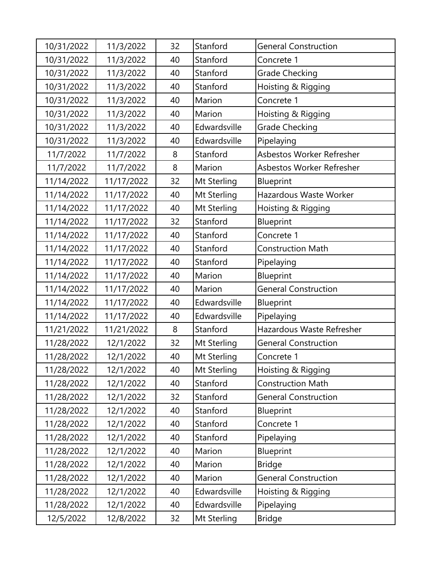| 10/31/2022 | 11/3/2022  | 32 | Stanford     | <b>General Construction</b> |
|------------|------------|----|--------------|-----------------------------|
| 10/31/2022 | 11/3/2022  | 40 | Stanford     | Concrete 1                  |
| 10/31/2022 | 11/3/2022  | 40 | Stanford     | <b>Grade Checking</b>       |
| 10/31/2022 | 11/3/2022  | 40 | Stanford     | Hoisting & Rigging          |
| 10/31/2022 | 11/3/2022  | 40 | Marion       | Concrete 1                  |
| 10/31/2022 | 11/3/2022  | 40 | Marion       | Hoisting & Rigging          |
| 10/31/2022 | 11/3/2022  | 40 | Edwardsville | <b>Grade Checking</b>       |
| 10/31/2022 | 11/3/2022  | 40 | Edwardsville | Pipelaying                  |
| 11/7/2022  | 11/7/2022  | 8  | Stanford     | Asbestos Worker Refresher   |
| 11/7/2022  | 11/7/2022  | 8  | Marion       | Asbestos Worker Refresher   |
| 11/14/2022 | 11/17/2022 | 32 | Mt Sterling  | Blueprint                   |
| 11/14/2022 | 11/17/2022 | 40 | Mt Sterling  | Hazardous Waste Worker      |
| 11/14/2022 | 11/17/2022 | 40 | Mt Sterling  | Hoisting & Rigging          |
| 11/14/2022 | 11/17/2022 | 32 | Stanford     | <b>Blueprint</b>            |
| 11/14/2022 | 11/17/2022 | 40 | Stanford     | Concrete 1                  |
| 11/14/2022 | 11/17/2022 | 40 | Stanford     | <b>Construction Math</b>    |
| 11/14/2022 | 11/17/2022 | 40 | Stanford     | Pipelaying                  |
| 11/14/2022 | 11/17/2022 | 40 | Marion       | Blueprint                   |
| 11/14/2022 | 11/17/2022 | 40 | Marion       | <b>General Construction</b> |
| 11/14/2022 | 11/17/2022 | 40 | Edwardsville | Blueprint                   |
| 11/14/2022 | 11/17/2022 | 40 | Edwardsville | Pipelaying                  |
| 11/21/2022 | 11/21/2022 | 8  | Stanford     | Hazardous Waste Refresher   |
| 11/28/2022 | 12/1/2022  | 32 | Mt Sterling  | <b>General Construction</b> |
| 11/28/2022 | 12/1/2022  | 40 | Mt Sterling  | Concrete 1                  |
| 11/28/2022 | 12/1/2022  | 40 | Mt Sterling  | Hoisting & Rigging          |
| 11/28/2022 | 12/1/2022  | 40 | Stanford     | <b>Construction Math</b>    |
| 11/28/2022 | 12/1/2022  | 32 | Stanford     | <b>General Construction</b> |
| 11/28/2022 | 12/1/2022  | 40 | Stanford     | <b>Blueprint</b>            |
| 11/28/2022 | 12/1/2022  | 40 | Stanford     | Concrete 1                  |
| 11/28/2022 | 12/1/2022  | 40 | Stanford     | Pipelaying                  |
| 11/28/2022 | 12/1/2022  | 40 | Marion       | <b>Blueprint</b>            |
| 11/28/2022 | 12/1/2022  | 40 | Marion       | <b>Bridge</b>               |
| 11/28/2022 | 12/1/2022  | 40 | Marion       | <b>General Construction</b> |
| 11/28/2022 | 12/1/2022  | 40 | Edwardsville | Hoisting & Rigging          |
| 11/28/2022 | 12/1/2022  | 40 | Edwardsville | Pipelaying                  |
| 12/5/2022  | 12/8/2022  | 32 | Mt Sterling  | <b>Bridge</b>               |